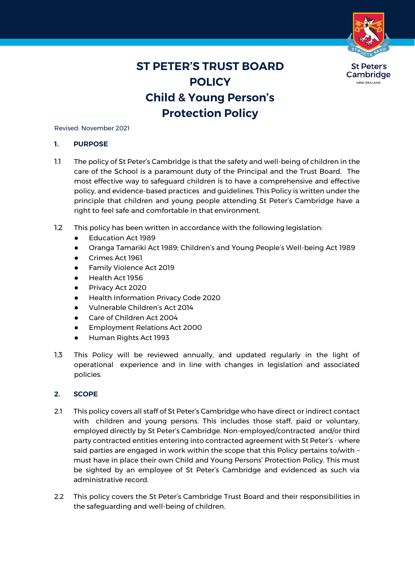

# **ST PETER'S TRUST BOARD POLICY Child & Young Person's Protection Policy**

Revised: November 2021

### **1. PURPOSE**

- 1.1 The policy of St Peter's Cambridge is that the safety and well-being of children in the care of the School is a paramount duty of the Principal and the Trust Board. The most effective way to safeguard children is to have a comprehensive and effective policy, and evidence-based practices and guidelines. This Policy is written under the principle that children and young people attending St Peter's Cambridge have a right to feel safe and comfortable in that environment.
- 1.2 This policy has been written in accordance with the following legislation:
	- Education Act 1989
	- Oranga Tamariki Act 1989; Children's and Young People's Well-being Act 1989
	- Crimes Act 1961
	- Family Violence Act 2019
	- Health Act 1956
	- Privacy Act 2020
	- **Health Information Privacy Code 2020**
	- Vulnerable Children's Act 2014
	- Care of Children Act 2004
	- Employment Relations Act 2000
	- Human Rights Act 1993
- 1.3 This Policy will be reviewed annually, and updated regularly in the light of operational experience and in line with changes in legislation and associated policies.

## **2. SCOPE**

- 2.1 This policy covers all staff of St Peter's Cambridge who have direct or indirect contact with children and young persons. This includes those staff, paid or voluntary, employed directly by St Peter's Cambridge. Non-employed/contracted and/or third party contracted entities entering into contracted agreement with St Peter's - where said parties are engaged in work within the scope that this Policy pertains to/with – must have in place their own Child and Young Persons' Protection Policy. This must be sighted by an employee of St Peter's Cambridge and evidenced as such via administrative record.
- 2.2 This policy covers the St Peter's Cambridge Trust Board and their responsibilities in the safeguarding and well-being of children.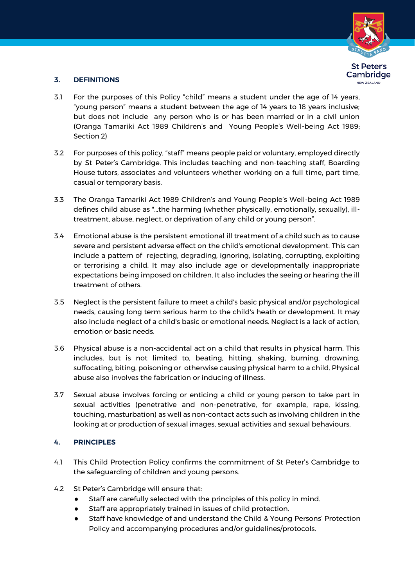

## **3. DEFINITIONS**

- 3.1 For the purposes of this Policy "child" means a student under the age of 14 years, "young person" means a student between the age of 14 years to 18 years inclusive; but does not include any person who is or has been married or in a civil union (Oranga Tamariki Act 1989 Children's and Young People's Well-being Act 1989; Section 2)
- 3.2 For purposes of this policy, "staff" means people paid or voluntary, employed directly by St Peter's Cambridge. This includes teaching and non-teaching staff, Boarding House tutors, associates and volunteers whether working on a full time, part time, casual or temporary basis.
- 3.3 The Oranga Tamariki Act 1989 Children's and Young People's Well-being Act 1989 defines child abuse as "…the harming (whether physically, emotionally, sexually), illtreatment, abuse, neglect, or deprivation of any child or young person".
- 3.4 Emotional abuse is the persistent emotional ill treatment of a child such as to cause severe and persistent adverse effect on the child's emotional development. This can include a pattern of rejecting, degrading, ignoring, isolating, corrupting, exploiting or terrorising a child. It may also include age or developmentally inappropriate expectations being imposed on children. It also includes the seeing or hearing the ill treatment of others.
- 3.5 Neglect is the persistent failure to meet a child's basic physical and/or psychological needs, causing long term serious harm to the child's heath or development. It may also include neglect of a child's basic or emotional needs. Neglect is a lack of action, emotion or basic needs.
- 3.6 Physical abuse is a non-accidental act on a child that results in physical harm. This includes, but is not limited to, beating, hitting, shaking, burning, drowning, suffocating, biting, poisoning or otherwise causing physical harm to a child. Physical abuse also involves the fabrication or inducing of illness.
- 3.7 Sexual abuse involves forcing or enticing a child or young person to take part in sexual activities (penetrative and non-penetrative, for example, rape, kissing, touching, masturbation) as well as non-contact acts such as involving children in the looking at or production of sexual images, sexual activities and sexual behaviours.

## **4. PRINCIPLES**

- 4.1 This Child Protection Policy confirms the commitment of St Peter's Cambridge to the safeguarding of children and young persons.
- 4.2 St Peter's Cambridge will ensure that:
	- Staff are carefully selected with the principles of this policy in mind.
	- Staff are appropriately trained in issues of child protection.
	- **•** Staff have knowledge of and understand the Child & Young Persons' Protection Policy and accompanying procedures and/or guidelines/protocols.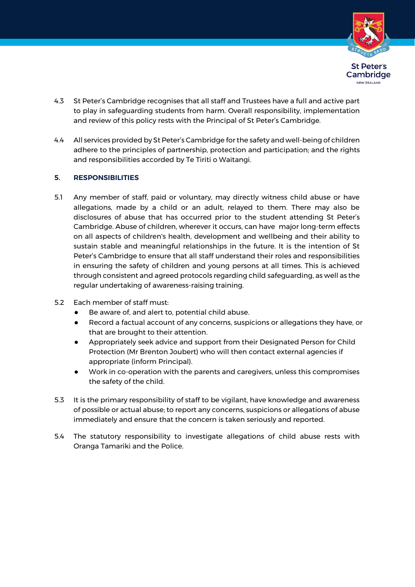

- 4.3 St Peter's Cambridge recognises that all staff and Trustees have a full and active part to play in safeguarding students from harm. Overall responsibility, implementation and review of this policy rests with the Principal of St Peter's Cambridge.
- 4.4 All services provided by St Peter's Cambridge forthe safety and well-being of children adhere to the principles of partnership, protection and participation; and the rights and responsibilities accorded by Te Tiriti o Waitangi.

## **5. RESPONSIBILITIES**

- 5.1 Any member of staff, paid or voluntary, may directly witness child abuse or have allegations, made by a child or an adult, relayed to them. There may also be disclosures of abuse that has occurred prior to the student attending St Peter's Cambridge. Abuse of children, wherever it occurs, can have major long-term effects on all aspects of children's health, development and wellbeing and their ability to sustain stable and meaningful relationships in the future. It is the intention of St Peter's Cambridge to ensure that all staff understand their roles and responsibilities in ensuring the safety of children and young persons at all times. This is achieved through consistent and agreed protocols regarding child safeguarding, as well as the regular undertaking of awareness-raising training.
- 5.2 Each member of staff must:
	- Be aware of, and alert to, potential child abuse.
	- Record a factual account of any concerns, suspicions or allegations they have, or that are brought to their attention.
	- Appropriately seek advice and support from their Designated Person for Child Protection (Mr Brenton Joubert) who will then contact external agencies if appropriate (inform Principal).
	- Work in co-operation with the parents and caregivers, unless this compromises the safety of the child.
- 5.3 It is the primary responsibility of staff to be vigilant, have knowledge and awareness of possible or actual abuse; to report any concerns, suspicions or allegations of abuse immediately and ensure that the concern is taken seriously and reported.
- 5.4 The statutory responsibility to investigate allegations of child abuse rests with Oranga Tamariki and the Police.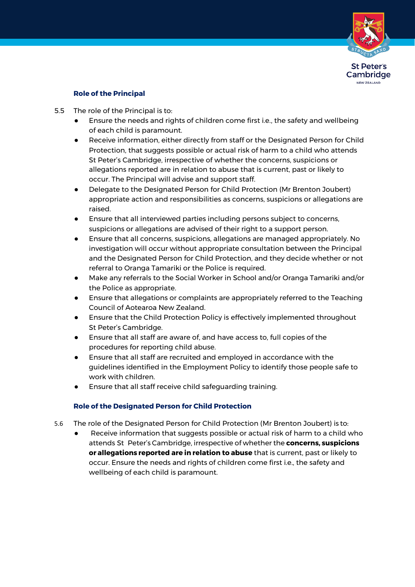

## **Role of the Principal**

- 5.5 The role of the Principal is to:
	- Ensure the needs and rights of children come first i.e., the safety and wellbeing of each child is paramount.
	- Receive information, either directly from staff or the Designated Person for Child Protection, that suggests possible or actual risk of harm to a child who attends St Peter's Cambridge, irrespective of whether the concerns, suspicions or allegations reported are in relation to abuse that is current, past or likely to occur. The Principal will advise and support staff.
	- Delegate to the Designated Person for Child Protection (Mr Brenton Joubert) appropriate action and responsibilities as concerns, suspicions or allegations are raised.
	- Ensure that all interviewed parties including persons subject to concerns, suspicions or allegations are advised of their right to a support person.
	- Ensure that all concerns, suspicions, allegations are managed appropriately. No investigation will occur without appropriate consultation between the Principal and the Designated Person for Child Protection, and they decide whether or not referral to Oranga Tamariki or the Police is required.
	- Make any referrals to the Social Worker in School and/or Oranga Tamariki and/or the Police as appropriate.
	- Ensure that allegations or complaints are appropriately referred to the Teaching Council of Aotearoa New Zealand.
	- Ensure that the Child Protection Policy is effectively implemented throughout St Peter's Cambridge.
	- Ensure that all staff are aware of, and have access to, full copies of the procedures for reporting child abuse.
	- Ensure that all staff are recruited and employed in accordance with the guidelines identified in the Employment Policy to identify those people safe to work with children.
	- Ensure that all staff receive child safeguarding training.

## **Role of the Designated Person for Child Protection**

- 5.6 The role of the Designated Person for Child Protection (Mr Brenton Joubert) is to:
	- Receive information that suggests possible or actual risk of harm to a child who attends St Peter's Cambridge, irrespective of whether the **concerns, suspicions or allegations reported are in relation to abuse** that is current, past or likely to occur. Ensure the needs and rights of children come first i.e., the safety and wellbeing of each child is paramount.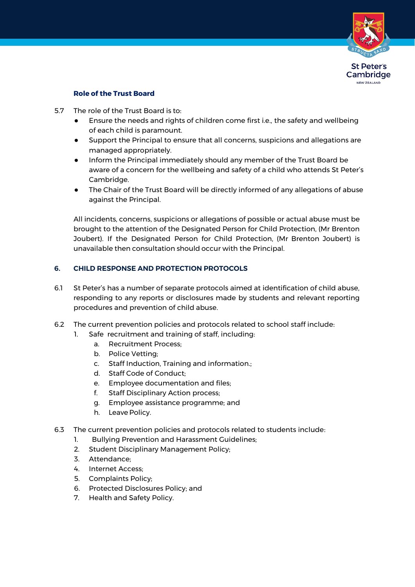

## **Role of the Trust Board**

- 5.7 The role of the Trust Board is to:
	- Ensure the needs and rights of children come first i.e., the safety and wellbeing of each child is paramount.
	- Support the Principal to ensure that all concerns, suspicions and allegations are managed appropriately.
	- Inform the Principal immediately should any member of the Trust Board be aware of a concern for the wellbeing and safety of a child who attends St Peter's Cambridge.
	- The Chair of the Trust Board will be directly informed of any allegations of abuse against the Principal.

All incidents, concerns, suspicions or allegations of possible or actual abuse must be brought to the attention of the Designated Person for Child Protection, (Mr Brenton Joubert). If the Designated Person for Child Protection, (Mr Brenton Joubert) is unavailable then consultation should occur with the Principal.

## **6. CHILD RESPONSE AND PROTECTION PROTOCOLS**

- 6.1 St Peter's has a number of separate protocols aimed at identification of child abuse, responding to any reports or disclosures made by students and relevant reporting procedures and prevention of child abuse.
- 6.2 The current prevention policies and protocols related to school staff include:
	- 1. Safe recruitment and training of staff, including:
		- a. Recruitment Process;
		- b. Police Vetting;
		- c. Staff Induction, Training and information.;
		- d. Staff Code of Conduct;
		- e. Employee documentation and files;
		- f. Staff Disciplinary Action process;
		- g. Employee assistance programme; and
		- h. Leave Policy.
- 6.3 The current prevention policies and protocols related to students include:
	- 1. Bullying Prevention and Harassment Guidelines;
	- 2. Student Disciplinary Management Policy;
	- 3. Attendance;
	- 4. Internet Access;
	- 5. Complaints Policy;
	- 6. Protected Disclosures Policy; and
	- 7. Health and Safety Policy.